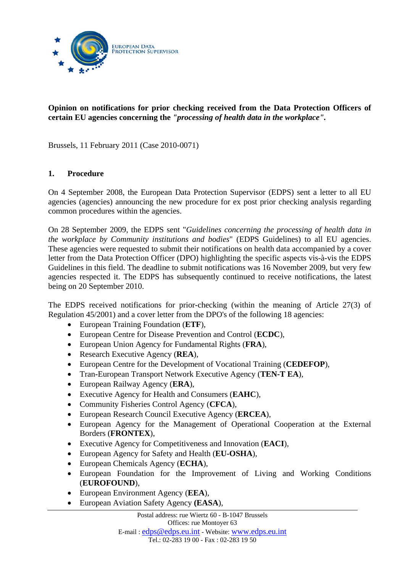

# **Opinion on notifications for prior checking received from the Data Protection Officers of certain EU agencies concerning the** *"processing of health data in the workplace".*

Brussels, 11 February 2011 (Case 2010-0071)

# **1. Procedure**

On 4 September 2008, the European Data Protection Supervisor (EDPS) sent a letter to all EU agencies (agencies) announcing the new procedure for ex post prior checking analysis regarding common procedures within the agencies.

On 28 September 2009, the EDPS sent "*Guidelines concerning the processing of health data in the workplace by Community institutions and bodies*" (EDPS Guidelines) to all EU agencies. These agencies were requested to submit their notifications on health data accompanied by a cover letter from the Data Protection Officer (DPO) highlighting the specific aspects vis-à-vis the EDPS Guidelines in this field. The deadline to submit notifications was 16 November 2009, but very few agencies respected it. The EDPS has subsequently continued to receive notifications, the latest being on 20 September 2010.

The EDPS received notifications for prior-checking (within the meaning of Article 27(3) of Regulation 45/2001) and a cover letter from the DPO's of the following 18 agencies:

- European Training Foundation (**ETF**),
- European Centre for Disease Prevention and Control (**ECDC**),
- European Union Agency for Fundamental Rights (**FRA**),
- Research Executive Agency (**REA**),
- European Centre for the Development of Vocational Training (**CEDEFOP**),
- Tran-European Transport Network Executive Agency (**TEN-T EA**),
- European Railway Agency (**ERA**),
- Executive Agency for Health and Consumers (**EAHC**),
- Community Fisheries Control Agency (**CFCA**),
- European Research Council Executive Agency (**ERCEA**),
- European Agency for the Management of Operational Cooperation at the External Borders (**FRONTEX**),
- Executive Agency for Competitiveness and Innovation (**EACI**),
- European Agency for Safety and Health (**EU-OSHA**),
- European Chemicals Agency (**ECHA**),
- European Foundation for the Improvement of Living and Working Conditions (**EUROFOUND**),
- European Environment Agency (**EEA**),
- European Aviation Safety Agency **(EASA**),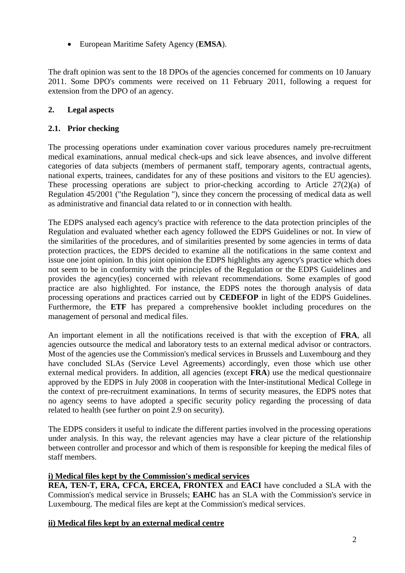European Maritime Safety Agency (**EMSA**).

The draft opinion was sent to the 18 DPOs of the agencies concerned for comments on 10 January 2011. Some DPO's comments were received on 11 February 2011, following a request for extension from the DPO of an agency.

# **2. Legal aspects**

# **2.1. Prior checking**

The processing operations under examination cover various procedures namely pre-recruitment medical examinations, annual medical check-ups and sick leave absences, and involve different categories of data subjects (members of permanent staff, temporary agents, contractual agents, national experts, trainees, candidates for any of these positions and visitors to the EU agencies). These processing operations are subject to prior-checking according to Article 27(2)(a) of Regulation 45/2001 ("the Regulation "), since they concern the processing of medical data as well as administrative and financial data related to or in connection with health.

The EDPS analysed each agency's practice with reference to the data protection principles of the Regulation and evaluated whether each agency followed the EDPS Guidelines or not. In view of the similarities of the procedures, and of similarities presented by some agencies in terms of data protection practices, the EDPS decided to examine all the notifications in the same context and issue one joint opinion. In this joint opinion the EDPS highlights any agency's practice which does not seem to be in conformity with the principles of the Regulation or the EDPS Guidelines and provides the agency(ies) concerned with relevant recommendations. Some examples of good practice are also highlighted. For instance, the EDPS notes the thorough analysis of data processing operations and practices carried out by **CEDEFOP** in light of the EDPS Guidelines. Furthermore, the **ETF** has prepared a comprehensive booklet including procedures on the management of personal and medical files.

An important element in all the notifications received is that with the exception of **FRA**, all agencies outsource the medical and laboratory tests to an external medical advisor or contractors. Most of the agencies use the Commission's medical services in Brussels and Luxembourg and they have concluded SLAs (Service Level Agreements) accordingly, even those which use other external medical providers. In addition, all agencies (except **FRA**) use the medical questionnaire approved by the EDPS in July 2008 in cooperation with the Inter-institutional Medical College in the context of pre-recruitment examinations. In terms of security measures, the EDPS notes that no agency seems to have adopted a specific security policy regarding the processing of data related to health (see further on point 2.9 on security).

The EDPS considers it useful to indicate the different parties involved in the processing operations under analysis. In this way, the relevant agencies may have a clear picture of the relationship between controller and processor and which of them is responsible for keeping the medical files of staff members.

### **i) Medical files kept by the Commission's medical services**

**REA, TEN-T, ERA, CFCA, ERCEA, FRONTEX** and **EACI** have concluded a SLA with the Commission's medical service in Brussels; **EAHC** has an SLA with the Commission's service in Luxembourg. The medical files are kept at the Commission's medical services.

# **ii) Medical files kept by an external medical centre**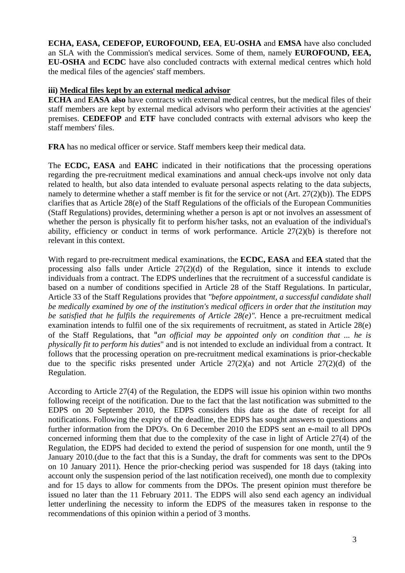**ECHA, EASA, CEDEFOP, EUROFOUND, EEA**, **EU-OSHA** and **EMSA** have also concluded an SLA with the Commission's medical services. Some of them, namely **EUROFOUND, EEA, EU-OSHA** and **ECDC** have also concluded contracts with external medical centres which hold the medical files of the agencies' staff members.

## **iii) Medical files kept by an external medical advisor**

**ECHA** and **EASA also** have contracts with external medical centres, but the medical files of their staff members are kept by external medical advisors who perform their activities at the agencies' premises. **CEDEFOP** and **ETF** have concluded contracts with external advisors who keep the staff members' files.

**FRA** has no medical officer or service. Staff members keep their medical data.

The **ECDC, EASA** and **EAHC** indicated in their notifications that the processing operations regarding the pre-recruitment medical examinations and annual check-ups involve not only data related to health, but also data intended to evaluate personal aspects relating to the data subjects, namely to determine whether a staff member is fit for the service or not (Art. 27(2)(b)). The EDPS clarifies that as Article 28(e) of the Staff Regulations of the officials of the European Communities (Staff Regulations) provides, determining whether a person is apt or not involves an assessment of whether the person is physically fit to perform his/her tasks, not an evaluation of the individual's ability, efficiency or conduct in terms of work performance. Article 27(2)(b) is therefore not relevant in this context.

With regard to pre-recruitment medical examinations, the **ECDC, EASA** and **EEA** stated that the processing also falls under Article 27(2)(d) of the Regulation, since it intends to exclude individuals from a contract. The EDPS underlines that the recruitment of a successful candidate is based on a number of conditions specified in Article 28 of the Staff Regulations. In particular, Article 33 of the Staff Regulations provides that *"before appointment, a successful candidate shall be medically examined by one of the institution's medical officers in order that the institution may be satisfied that he fulfils the requirements of Article 28(e)".* Hence a pre-recruitment medical examination intends to fulfil one of the six requirements of recruitment, as stated in Article 28(e) of the Staff Regulations, that "*an official may be appointed only on condition that ... he is physically fit to perform his duties*" and is not intended to exclude an individual from a contract. It follows that the processing operation on pre-recruitment medical examinations is prior-checkable due to the specific risks presented under Article 27(2)(a) and not Article 27(2)(d) of the Regulation.

According to Article 27(4) of the Regulation, the EDPS will issue his opinion within two months following receipt of the notification. Due to the fact that the last notification was submitted to the EDPS on 20 September 2010, the EDPS considers this date as the date of receipt for all notifications. Following the expiry of the deadline, the EDPS has sought answers to questions and further information from the DPO's. On 6 December 2010 the EDPS sent an e-mail to all DPOs concerned informing them that due to the complexity of the case in light of Article 27(4) of the Regulation, the EDPS had decided to extend the period of suspension for one month, until the 9 January 2010.(due to the fact that this is a Sunday, the draft for comments was sent to the DPOs on 10 January 2011). Hence the prior-checking period was suspended for 18 days (taking into account only the suspension period of the last notification received), one month due to complexity and for 15 days to allow for comments from the DPOs. The present opinion must therefore be issued no later than the 11 February 2011. The EDPS will also send each agency an individual letter underlining the necessity to inform the EDPS of the measures taken in response to the recommendations of this opinion within a period of 3 months.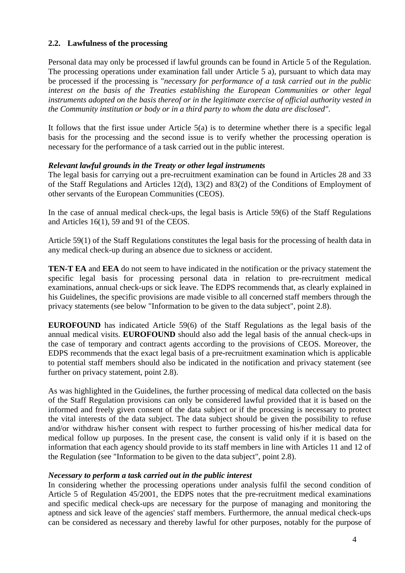## **2.2. Lawfulness of the processing**

Personal data may only be processed if lawful grounds can be found in Article 5 of the Regulation. The processing operations under examination fall under Article 5 a), pursuant to which data may be processed if the processing is "*necessary for performance of a task carried out in the public interest on the basis of the Treaties establishing the European Communities or other legal instruments adopted on the basis thereof or in the legitimate exercise of official authority vested in the Community institution or body or in a third party to whom the data are disclosed"*.

It follows that the first issue under Article 5(a) is to determine whether there is a specific legal basis for the processing and the second issue is to verify whether the processing operation is necessary for the performance of a task carried out in the public interest.

## *Relevant lawful grounds in the Treaty or other legal instruments*

The legal basis for carrying out a pre-recruitment examination can be found in Articles 28 and 33 of the Staff Regulations and Articles 12(d), 13(2) and 83(2) of the Conditions of Employment of other servants of the European Communities (CEOS).

In the case of annual medical check-ups, the legal basis is Article 59(6) of the Staff Regulations and Articles 16(1), 59 and 91 of the CEOS.

Article 59(1) of the Staff Regulations constitutes the legal basis for the processing of health data in any medical check-up during an absence due to sickness or accident.

**TEN-T EA** and **EEA** do not seem to have indicated in the notification or the privacy statement the specific legal basis for processing personal data in relation to pre-recruitment medical examinations, annual check-ups or sick leave. The EDPS recommends that, as clearly explained in his Guidelines, the specific provisions are made visible to all concerned staff members through the privacy statements (see below "Information to be given to the data subject", point 2.8).

**EUROFOUND** has indicated Article 59(6) of the Staff Regulations as the legal basis of the annual medical visits. **EUROFOUND** should also add the legal basis of the annual check-ups in the case of temporary and contract agents according to the provisions of CEOS. Moreover, the EDPS recommends that the exact legal basis of a pre-recruitment examination which is applicable to potential staff members should also be indicated in the notification and privacy statement (see further on privacy statement, point 2.8).

As was highlighted in the Guidelines, the further processing of medical data collected on the basis of the Staff Regulation provisions can only be considered lawful provided that it is based on the informed and freely given consent of the data subject or if the processing is necessary to protect the vital interests of the data subject. The data subject should be given the possibility to refuse and/or withdraw his/her consent with respect to further processing of his/her medical data for medical follow up purposes. In the present case, the consent is valid only if it is based on the information that each agency should provide to its staff members in line with Articles 11 and 12 of the Regulation (see "Information to be given to the data subject", point 2.8).

### *Necessary to perform a task carried out in the public interest*

In considering whether the processing operations under analysis fulfil the second condition of Article 5 of Regulation 45/2001, the EDPS notes that the pre-recruitment medical examinations and specific medical check-ups are necessary for the purpose of managing and monitoring the aptness and sick leave of the agencies' staff members. Furthermore, the annual medical check-ups can be considered as necessary and thereby lawful for other purposes, notably for the purpose of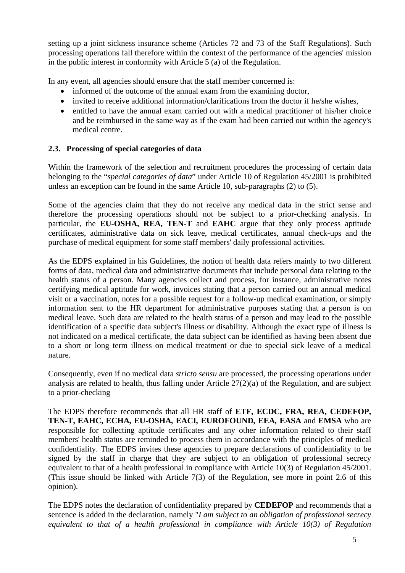setting up a joint sickness insurance scheme (Articles 72 and 73 of the Staff Regulations). Such processing operations fall therefore within the context of the performance of the agencies' mission in the public interest in conformity with Article 5 (a) of the Regulation.

In any event, all agencies should ensure that the staff member concerned is:

- informed of the outcome of the annual exam from the examining doctor,
- invited to receive additional information/clarifications from the doctor if he/she wishes,
- entitled to have the annual exam carried out with a medical practitioner of his/her choice and be reimbursed in the same way as if the exam had been carried out within the agency's medical centre.

# **2.3. Processing of special categories of data**

Within the framework of the selection and recruitment procedures the processing of certain data belonging to the "*special categories of data*" under Article 10 of Regulation 45/2001 is prohibited unless an exception can be found in the same Article 10, sub-paragraphs (2) to (5).

Some of the agencies claim that they do not receive any medical data in the strict sense and therefore the processing operations should not be subject to a prior-checking analysis. In particular, the **EU-OSHA, REA, TEN-T** and **EAHC** argue that they only process aptitude certificates, administrative data on sick leave, medical certificates, annual check-ups and the purchase of medical equipment for some staff members' daily professional activities.

As the EDPS explained in his Guidelines, the notion of health data refers mainly to two different forms of data, medical data and administrative documents that include personal data relating to the health status of a person. Many agencies collect and process, for instance, administrative notes certifying medical aptitude for work, invoices stating that a person carried out an annual medical visit or a vaccination, notes for a possible request for a follow-up medical examination, or simply information sent to the HR department for administrative purposes stating that a person is on medical leave. Such data are related to the health status of a person and may lead to the possible identification of a specific data subject's illness or disability. Although the exact type of illness is not indicated on a medical certificate, the data subject can be identified as having been absent due to a short or long term illness on medical treatment or due to special sick leave of a medical nature.

Consequently, even if no medical data *stricto sensu* are processed, the processing operations under analysis are related to health, thus falling under Article 27(2)(a) of the Regulation, and are subject to a prior-checking

The EDPS therefore recommends that all HR staff of **ETF, ECDC, FRA, REA, CEDEFOP, TEN-T, EAHC, ECHA***,* **EU-OSHA***,* **EACI***,* **EUROFOUND***,* **EEA***,* **EASA** and **EMSA** who are responsible for collecting aptitude certificates and any other information related to their staff members' health status are reminded to process them in accordance with the principles of medical confidentiality. The EDPS invites these agencies to prepare declarations of confidentiality to be signed by the staff in charge that they are subject to an obligation of professional secrecy equivalent to that of a health professional in compliance with Article 10(3) of Regulation 45/2001. (This issue should be linked with Article 7(3) of the Regulation, see more in point 2.6 of this opinion).

The EDPS notes the declaration of confidentiality prepared by **CEDEFOP** and recommends that a sentence is added in the declaration, namely "*I am subject to an obligation of professional secrecy equivalent to that of a health professional in compliance with Article 10(3) of Regulation*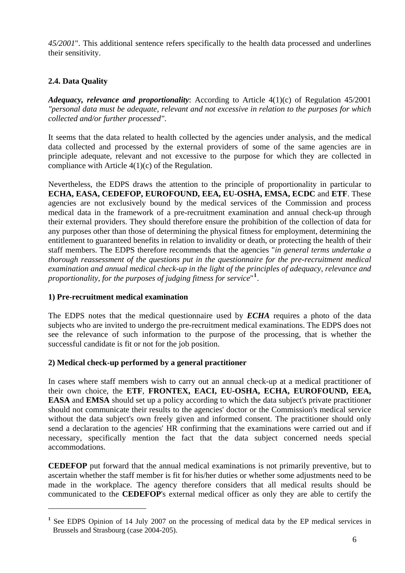*45/2001*". This additional sentence refers specifically to the health data processed and underlines their sensitivity.

# **2.4. Data Quality**

*Adequacy, relevance and proportionality*: According to Article 4(1)(c) of Regulation 45/2001 *"personal data must be adequate, relevant and not excessive in relation to the purposes for which collected and/or further processed"*.

It seems that the data related to health collected by the agencies under analysis, and the medical data collected and processed by the external providers of some of the same agencies are in principle adequate, relevant and not excessive to the purpose for which they are collected in compliance with Article 4(1)(c) of the Regulation.

Nevertheless, the EDPS draws the attention to the principle of proportionality in particular to **ECHA, EASA, CEDEFOP, EUROFOUND, EEA, EU-OSHA, EMSA, ECDC** and **ETF**. These agencies are not exclusively bound by the medical services of the Commission and process medical data in the framework of a pre-recruitment examination and annual check-up through their external providers. They should therefore ensure the prohibition of the collection of data for any purposes other than those of determining the physical fitness for employment, determining the entitlement to guaranteed benefits in relation to invalidity or death, or protecting the health of their staff members. The EDPS therefore recommends that the agencies "*in general terms undertake a thorough reassessment of the questions put in the questionnaire for the pre-recruitment medical examination and annual medical check-up in the light of the principles of adequacy, relevance and proportionality, for the purposes of judging fitness for service*" **[1](#page-5-0)** .

# **1) Pre-recruitment medical examination**

1

The EDPS notes that the medical questionnaire used by *ECHA* requires a photo of the data subjects who are invited to undergo the pre-recruitment medical examinations. The EDPS does not see the relevance of such information to the purpose of the processing, that is whether the successful candidate is fit or not for the job position.

# **2) Medical check-up performed by a general practitioner**

In cases where staff members wish to carry out an annual check-up at a medical practitioner of their own choice, the **ETF**, **FRONTEX, EACI, EU-OSHA, ECHA, EUROFOUND, EEA, EASA** and **EMSA** should set up a policy according to which the data subject's private practitioner should not communicate their results to the agencies' doctor or the Commission's medical service without the data subject's own freely given and informed consent. The practitioner should only send a declaration to the agencies' HR confirming that the examinations were carried out and if necessary, specifically mention the fact that the data subject concerned needs special accommodations.

**CEDEFOP** put forward that the annual medical examinations is not primarily preventive, but to ascertain whether the staff member is fit for his/her duties or whether some adjustments need to be made in the workplace. The agency therefore considers that all medical results should be communicated to the **CEDEFOP**'s external medical officer as only they are able to certify the

<span id="page-5-0"></span>**<sup>1</sup>** See EDPS Opinion of 14 July 2007 on the processing of medical data by the EP medical services in Brussels and Strasbourg (case 2004-205).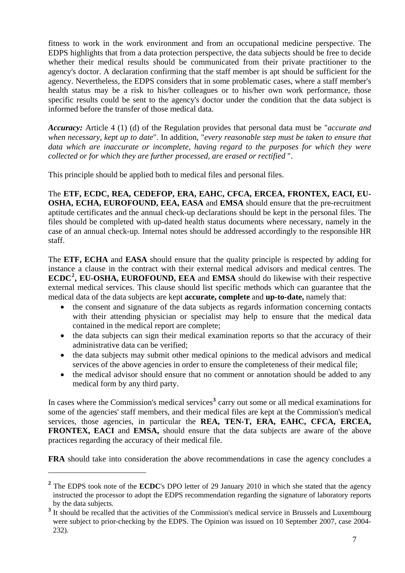fitness to work in the work environment and from an occupational medicine perspective. The EDPS highlights that from a data protection perspective, the data subjects should be free to decide whether their medical results should be communicated from their private practitioner to the agency's doctor. A declaration confirming that the staff member is apt should be sufficient for the agency. Nevertheless, the EDPS considers that in some problematic cases, where a staff member's health status may be a risk to his/her colleagues or to his/her own work performance, those specific results could be sent to the agency's doctor under the condition that the data subject is informed before the transfer of those medical data.

*Accuracy:* Article 4 (1) (d) of the Regulation provides that personal data must be "*accurate and when necessary, kept up to date*". In addition, "*every reasonable step must be taken to ensure that data which are inaccurate or incomplete, having regard to the purposes for which they were collected or for which they are further processed, are erased or rectified* ".

This principle should be applied both to medical files and personal files.

The **ETF, ECDC, REA, CEDEFOP, ERA, EAHC, CFCA, ERCEA, FRONTEX, EACI, EU-OSHA, ECHA, EUROFOUND, EEA, EASA** and **EMSA** should ensure that the pre-recruitment aptitude certificates and the annual check-up declarations should be kept in the personal files. The files should be completed with up-dated health status documents where necessary, namely in the case of an annual check-up. Internal notes should be addressed accordingly to the responsible HR staff.

The **ETF, ECHA** and **EASA** should ensure that the quality principle is respected by adding for instance a clause in the contract with their external medical advisors and medical centres. The **ECDC[2](#page-6-0) , EU-OSHA, EUROFOUND, EEA** and **EMSA** should do likewise with their respective external medical services. This clause should list specific methods which can guarantee that the medical data of the data subjects are kept **accurate, complete** and **up-to-date,** namely that:

- the consent and signature of the data subjects as regards information concerning contacts with their attending physician or specialist may help to ensure that the medical data contained in the medical report are complete;
- the data subjects can sign their medical examination reports so that the accuracy of their administrative data can be verified;
- the data subjects may submit other medical opinions to the medical advisors and medical services of the above agencies in order to ensure the completeness of their medical file;
- the medical advisor should ensure that no comment or annotation should be added to any medical form by any third party.

In cases where the Commission's medical services<sup>[3](#page-6-1)</sup> carry out some or all medical examinations for some of the agencies' staff members, and their medical files are kept at the Commission's medical services, those agencies, in particular the **REA, TEN-T, ERA, EAHC, CFCA, ERCEA, FRONTEX, EACI** and **EMSA**, should ensure that the data subjects are aware of the above practices regarding the accuracy of their medical file.

**FRA** should take into consideration the above recommendations in case the agency concludes a

1

<span id="page-6-0"></span><sup>&</sup>lt;sup>2</sup> The EDPS took note of the **ECDC**'s DPO letter of 29 January 2010 in which she stated that the agency instructed the processor to adopt the EDPS recommendation regarding the signature of laboratory reports by the data subjects.

<span id="page-6-1"></span><sup>&</sup>lt;sup>3</sup> It should be recalled that the activities of the Commission's medical service in Brussels and Luxembourg were subject to prior-checking by the EDPS. The Opinion was issued on 10 September 2007, case 2004- 232).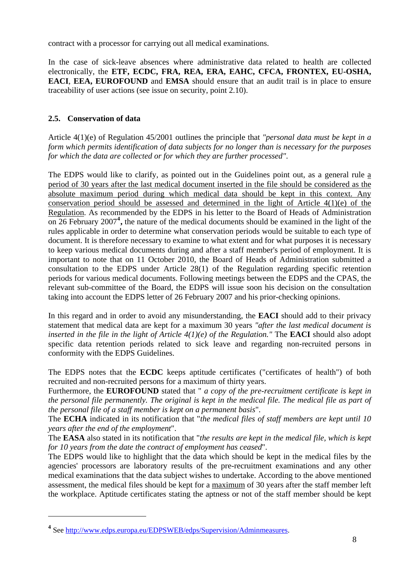contract with a processor for carrying out all medical examinations.

In the case of sick-leave absences where administrative data related to health are collected electronically, the **ETF, ECDC, FRA, REA, ERA, EAHC, CFCA, FRONTEX, EU-OSHA, EACI, EEA, EUROFOUND** and **EMSA** should ensure that an audit trail is in place to ensure traceability of user actions (see issue on security, point 2.10).

# **2.5. Conservation of data**

Article 4(1)(e) of Regulation 45/2001 outlines the principle that *"personal data must be kept in a form which permits identification of data subjects for no longer than is necessary for the purposes for which the data are collected or for which they are further processed"*.

The EDPS would like to clarify, as pointed out in the Guidelines point out, as a general rule a period of 30 years after the last medical document inserted in the file should be considered as the absolute maximum period during which medical data should be kept in this context. Any conservation period should be assessed and determined in the light of Article 4(1)(e) of the Regulation. As recommended by the EDPS in his letter to the Board of Heads of Administration on 26 February 2007**[4](#page-7-0) ,** the nature of the medical documents should be examined in the light of the rules applicable in order to determine what conservation periods would be suitable to each type of document. It is therefore necessary to examine to what extent and for what purposes it is necessary to keep various medical documents during and after a staff member's period of employment. It is important to note that on 11 October 2010, the Board of Heads of Administration submitted a consultation to the EDPS under Article 28(1) of the Regulation regarding specific retention periods for various medical documents. Following meetings between the EDPS and the CPAS, the relevant sub-committee of the Board, the EDPS will issue soon his decision on the consultation taking into account the EDPS letter of 26 February 2007 and his prior-checking opinions.

In this regard and in order to avoid any misunderstanding, the **EACI** should add to their privacy statement that medical data are kept for a maximum 30 years *"after the last medical document is inserted in the file in the light of Article 4(1)(e) of the Regulation."* The **EACI** should also adopt specific data retention periods related to sick leave and regarding non-recruited persons in conformity with the EDPS Guidelines.

The EDPS notes that the **ECDC** keeps aptitude certificates ("certificates of health") of both recruited and non-recruited persons for a maximum of thirty years.

Furthermore, the **EUROFOUND** stated that " *a copy of the pre-recruitment certificate is kept in the personal file permanently. The original is kept in the medical file. The medical file as part of the personal file of a staff member is kept on a permanent basis*".

The **ECHA** indicated in its notification that "*the medical files of staff members are kept until 10 years after the end of the employment*".

The **EASA** also stated in its notification that "*the results are kept in the medical file, which is kept for 10 years from the date the contract of employment has ceased*".

The EDPS would like to highlight that the data which should be kept in the medical files by the agencies' processors are laboratory results of the pre-recruitment examinations and any other medical examinations that the data subject wishes to undertake. According to the above mentioned assessment, the medical files should be kept for a maximum of 30 years after the staff member left the workplace. Aptitude certificates stating the aptness or not of the staff member should be kept

<u>.</u>

<span id="page-7-0"></span>**<sup>4</sup>** See <http://www.edps.europa.eu/EDPSWEB/edps/Supervision/Adminmeasures>.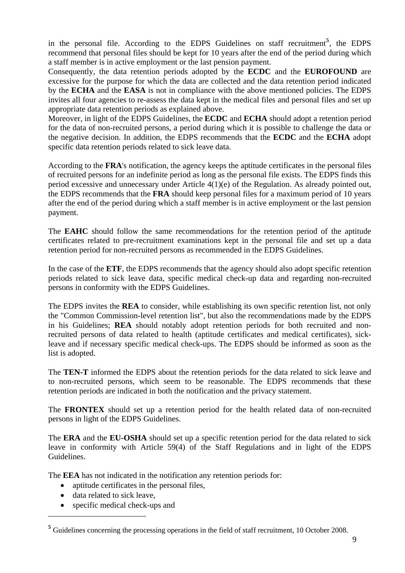in the personal file. According to the EDPS Guidelines on staff recruitment**[5](#page-8-0)** , the EDPS recommend that personal files should be kept for 10 years after the end of the period during which a staff member is in active employment or the last pension payment.

Consequently, the data retention periods adopted by the **ECDC** and the **EUROFOUND** are excessive for the purpose for which the data are collected and the data retention period indicated by the **ECHA** and the **EASA** is not in compliance with the above mentioned policies. The EDPS invites all four agencies to re-assess the data kept in the medical files and personal files and set up appropriate data retention periods as explained above.

Moreover, in light of the EDPS Guidelines, the **ECDC** and **ECHA** should adopt a retention period for the data of non-recruited persons, a period during which it is possible to challenge the data or the negative decision. In addition, the EDPS recommends that the **ECDC** and the **ECHA** adopt specific data retention periods related to sick leave data.

According to the **FRA**'s notification, the agency keeps the aptitude certificates in the personal files of recruited persons for an indefinite period as long as the personal file exists. The EDPS finds this period excessive and unnecessary under Article 4(1)(e) of the Regulation. As already pointed out, the EDPS recommends that the **FRA** should keep personal files for a maximum period of 10 years after the end of the period during which a staff member is in active employment or the last pension payment.

The **EAHC** should follow the same recommendations for the retention period of the aptitude certificates related to pre-recruitment examinations kept in the personal file and set up a data retention period for non-recruited persons as recommended in the EDPS Guidelines.

In the case of the **ETF**, the EDPS recommends that the agency should also adopt specific retention periods related to sick leave data, specific medical check-up data and regarding non-recruited persons in conformity with the EDPS Guidelines.

The EDPS invites the **REA** to consider, while establishing its own specific retention list, not only the "Common Commission-level retention list", but also the recommendations made by the EDPS in his Guidelines; **REA** should notably adopt retention periods for both recruited and nonrecruited persons of data related to health (aptitude certificates and medical certificates), sickleave and if necessary specific medical check-ups. The EDPS should be informed as soon as the list is adopted.

The **TEN-T** informed the EDPS about the retention periods for the data related to sick leave and to non-recruited persons, which seem to be reasonable. The EDPS recommends that these retention periods are indicated in both the notification and the privacy statement.

The **FRONTEX** should set up a retention period for the health related data of non-recruited persons in light of the EDPS Guidelines.

The **ERA** and the **EU-OSHA** should set up a specific retention period for the data related to sick leave in conformity with Article 59(4) of the Staff Regulations and in light of the EDPS Guidelines.

The **EEA** has not indicated in the notification any retention periods for:

- aptitude certificates in the personal files,
- data related to sick leave,

<u>.</u>

• specific medical check-ups and

<span id="page-8-0"></span>**<sup>5</sup>** Guidelines concerning the processing operations in the field of staff recruitment, 10 October 2008.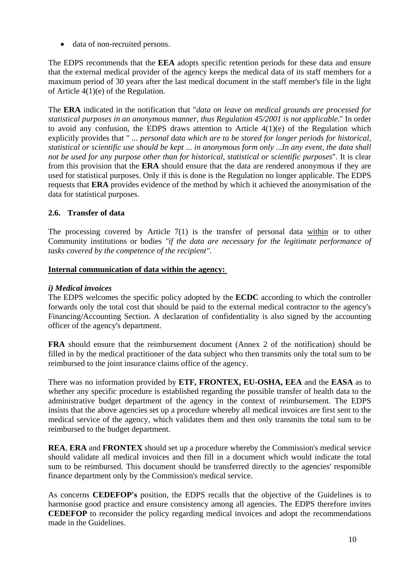data of non-recruited persons.

The EDPS recommends that the **EEA** adopts specific retention periods for these data and ensure that the external medical provider of the agency keeps the medical data of its staff members for a maximum period of 30 years after the last medical document in the staff member's file in the light of Article 4(1)(e) of the Regulation.

The **ERA** indicated in the notification that "*data on leave on medical grounds are processed for statistical purposes in an anonymous manner, thus Regulation 45/2001 is not applicable.*" In order to avoid any confusion, the EDPS draws attention to Article 4(1)(e) of the Regulation which explicitly provides that " *... personal data which are to be stored for longer periods for historical, statistical or scientific use should be kept* ... *in anonymous form only* ...*In any event, the data shall not be used for any purpose other than for historical, statistical or scientific purposes*". It is clear from this provision that the **ERA** should ensure that the data are rendered anonymous if they are used for statistical purposes. Only if this is done is the Regulation no longer applicable. The EDPS requests that **ERA** provides evidence of the method by which it achieved the anonymisation of the data for statistical purposes.

# **2.6. Transfer of data**

The processing covered by Article 7(1) is the transfer of personal data within or to other Community institutions or bodies *"if the data are necessary for the legitimate performance of tasks covered by the competence of the recipient".* 

### **Internal communication of data within the agency:**

### *i) Medical invoices*

The EDPS welcomes the specific policy adopted by the **ECDC** according to which the controller forwards only the total cost that should be paid to the external medical contractor to the agency's Financing/Accounting Section. A declaration of confidentiality is also signed by the accounting officer of the agency's department.

**FRA** should ensure that the reimbursement document (Annex 2 of the notification) should be filled in by the medical practitioner of the data subject who then transmits only the total sum to be reimbursed to the joint insurance claims office of the agency.

There was no information provided by **ETF, FRONTEX, EU-OSHA, EEA** and the **EASA** as to whether any specific procedure is established regarding the possible transfer of health data to the administrative budget department of the agency in the context of reimbursement. The EDPS insists that the above agencies set up a procedure whereby all medical invoices are first sent to the medical service of the agency, which validates them and then only transmits the total sum to be reimbursed to the budget department.

**REA**, **ERA** and **FRONTEX** should set up a procedure whereby the Commission's medical service should validate all medical invoices and then fill in a document which would indicate the total sum to be reimbursed. This document should be transferred directly to the agencies' responsible finance department only by the Commission's medical service.

As concerns **CEDEFOP's** position, the EDPS recalls that the objective of the Guidelines is to harmonise good practice and ensure consistency among all agencies. The EDPS therefore invites **CEDEFOP** to reconsider the policy regarding medical invoices and adopt the recommendations made in the Guidelines.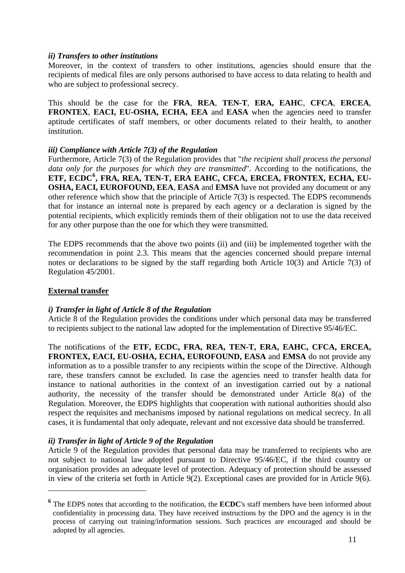## *ii) Transfers to other institutions*

Moreover, in the context of transfers to other institutions, agencies should ensure that the recipients of medical files are only persons authorised to have access to data relating to health and who are subject to professional secrecy.

This should be the case for the **FRA**, **REA**, **TEN-T**, **ERA, EAHC**, **CFCA**, **ERCEA**, **FRONTEX**, **EACI, EU-OSHA, ECHA, EEA** and **EASA** when the agencies need to transfer aptitude certificates of staff members, or other documents related to their health, to another institution.

## *iii) Compliance with Article 7(3) of the Regulation*

Furthermore, Article 7(3) of the Regulation provides that "*the recipient shall process the personal data only for the purposes for which they are transmitted*". According to the notifications, the **ETF, ECDC[6](#page-10-0) , FRA, REA, TEN-T, ERA EAHC, CFCA, ERCEA, FRONTEX, ECHA, EU-OSHA, EACI, EUROFOUND, EEA**, **EASA** and **EMSA** have not provided any document or any other reference which show that the principle of Article 7(3) is respected. The EDPS recommends that for instance an internal note is prepared by each agency or a declaration is signed by the potential recipients, which explicitly reminds them of their obligation not to use the data received for any other purpose than the one for which they were transmitted.

The EDPS recommends that the above two points (ii) and (iii) be implemented together with the recommendation in point 2.3. This means that the agencies concerned should prepare internal notes or declarations to be signed by the staff regarding both Article 10(3) and Article 7(3) of Regulation 45/2001.

## **External transfer**

1

# *i) Transfer in light of Article 8 of the Regulation*

Article 8 of the Regulation provides the conditions under which personal data may be transferred to recipients subject to the national law adopted for the implementation of Directive 95/46/EC.

The notifications of the **ETF, ECDC, FRA, REA, TEN-T, ERA, EAHC, CFCA, ERCEA, FRONTEX, EACI, EU-OSHA, ECHA, EUROFOUND, EASA** and **EMSA** do not provide any information as to a possible transfer to any recipients within the scope of the Directive. Although rare, these transfers cannot be excluded. In case the agencies need to transfer health data for instance to national authorities in the context of an investigation carried out by a national authority, the necessity of the transfer should be demonstrated under Article 8(a) of the Regulation. Moreover, the EDPS highlights that cooperation with national authorities should also respect the requisites and mechanisms imposed by national regulations on medical secrecy. In all cases, it is fundamental that only adequate, relevant and not excessive data should be transferred.

### *ii) Transfer in light of Article 9 of the Regulation*

Article 9 of the Regulation provides that personal data may be transferred to recipients who are not subject to national law adopted pursuant to Directive 95/46/EC, if the third country or organisation provides an adequate level of protection. Adequacy of protection should be assessed in view of the criteria set forth in Article 9(2). Exceptional cases are provided for in Article 9(6).

<span id="page-10-0"></span><sup>&</sup>lt;sup>6</sup> The EDPS notes that according to the notification, the **ECDC**'s staff members have been informed about confidentiality in processing data. They have received instructions by the DPO and the agency is in the process of carrying out training/information sessions. Such practices are encouraged and should be adopted by all agencies.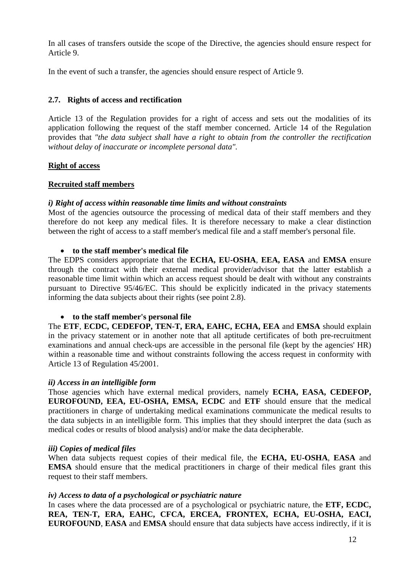In all cases of transfers outside the scope of the Directive, the agencies should ensure respect for Article 9.

In the event of such a transfer, the agencies should ensure respect of Article 9.

## **2.7. Rights of access and rectification**

Article 13 of the Regulation provides for a right of access and sets out the modalities of its application following the request of the staff member concerned. Article 14 of the Regulation provides that *"the data subject shall have a right to obtain from the controller the rectification without delay of inaccurate or incomplete personal data".* 

## **Right of access**

## **Recruited staff members**

## *i) Right of access within reasonable time limits and without constraints*

Most of the agencies outsource the processing of medical data of their staff members and they therefore do not keep any medical files. It is therefore necessary to make a clear distinction between the right of access to a staff member's medical file and a staff member's personal file.

### **to the staff member's medical file**

The EDPS considers appropriate that the **ECHA, EU-OSHA**, **EEA, EASA** and **EMSA** ensure through the contract with their external medical provider/advisor that the latter establish a reasonable time limit within which an access request should be dealt with without any constraints pursuant to Directive 95/46/EC. This should be explicitly indicated in the privacy statements informing the data subjects about their rights (see point 2.8).

### **to the staff member's personal file**

The **ETF**, **ECDC, CEDEFOP, TEN-T, ERA, EAHC, ECHA, EEA** and **EMSA** should explain in the privacy statement or in another note that all aptitude certificates of both pre-recruitment examinations and annual check-ups are accessible in the personal file (kept by the agencies' HR) within a reasonable time and without constraints following the access request in conformity with Article 13 of Regulation 45/2001.

### *ii) Access in an intelligible form*

Those agencies which have external medical providers, namely **ECHA, EASA, CEDEFOP, EUROFOUND, EEA, EU-OSHA, EMSA, ECDC** and **ETF** should ensure that the medical practitioners in charge of undertaking medical examinations communicate the medical results to the data subjects in an intelligible form. This implies that they should interpret the data (such as medical codes or results of blood analysis) and/or make the data decipherable.

### *iii) Copies of medical files*

When data subjects request copies of their medical file, the **ECHA, EU-OSHA**, **EASA** and **EMSA** should ensure that the medical practitioners in charge of their medical files grant this request to their staff members.

### *iv) Access to data of a psychological or psychiatric nature*

In cases where the data processed are of a psychological or psychiatric nature, the **ETF, ECDC, REA, TEN-T, ERA, EAHC, CFCA, ERCEA, FRONTEX, ECHA, EU-OSHA, EACI, EUROFOUND, EASA** and **EMSA** should ensure that data subjects have access indirectly, if it is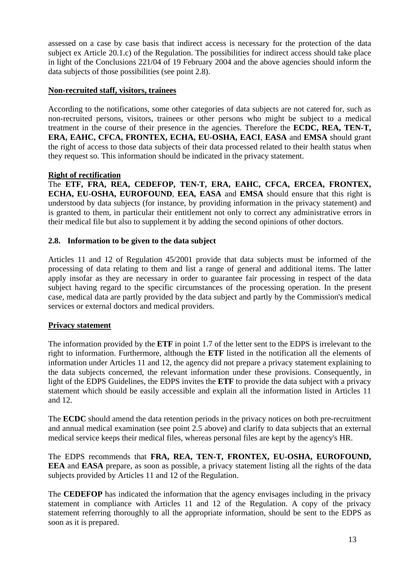assessed on a case by case basis that indirect access is necessary for the protection of the data subject ex Article 20.1.c) of the Regulation. The possibilities for indirect access should take place in light of the Conclusions 221/04 of 19 February 2004 and the above agencies should inform the data subjects of those possibilities (see point 2.8).

# **Non-recruited staff, visitors, trainees**

According to the notifications, some other categories of data subjects are not catered for, such as non-recruited persons, visitors, trainees or other persons who might be subject to a medical treatment in the course of their presence in the agencies. Therefore the **ECDC, REA, TEN-T, ERA, EAHC, CFCA, FRONTEX, ECHA, EU-OSHA, EACI**, **EASA** and **EMSA** should grant the right of access to those data subjects of their data processed related to their health status when they request so. This information should be indicated in the privacy statement.

# **Right of rectification**

The **ETF, FRA, REA, CEDEFOP, TEN-T, ERA, EAHC, CFCA, ERCEA, FRONTEX, ECHA, EU-OSHA, EUROFOUND**, **EEA***,* **EASA** and **EMSA** should ensure that this right is understood by data subjects (for instance, by providing information in the privacy statement) and is granted to them, in particular their entitlement not only to correct any administrative errors in their medical file but also to supplement it by adding the second opinions of other doctors.

# **2.8. Information to be given to the data subject**

Articles 11 and 12 of Regulation 45/2001 provide that data subjects must be informed of the processing of data relating to them and list a range of general and additional items. The latter apply insofar as they are necessary in order to guarantee fair processing in respect of the data subject having regard to the specific circumstances of the processing operation. In the present case, medical data are partly provided by the data subject and partly by the Commission's medical services or external doctors and medical providers.

# **Privacy statement**

The information provided by the **ETF** in point 1.7 of the letter sent to the EDPS is irrelevant to the right to information. Furthermore, although the **ETF** listed in the notification all the elements of information under Articles 11 and 12, the agency did not prepare a privacy statement explaining to the data subjects concerned, the relevant information under these provisions. Consequently, in light of the EDPS Guidelines, the EDPS invites the **ETF** to provide the data subject with a privacy statement which should be easily accessible and explain all the information listed in Articles 11 and 12.

The **ECDC** should amend the data retention periods in the privacy notices on both pre-recruitment and annual medical examination (see point 2.5 above) and clarify to data subjects that an external medical service keeps their medical files, whereas personal files are kept by the agency's HR.

The EDPS recommends that **FRA, REA, TEN-T, FRONTEX, EU-OSHA, EUROFOUND, EEA** and **EASA** prepare, as soon as possible, a privacy statement listing all the rights of the data subjects provided by Articles 11 and 12 of the Regulation.

The **CEDEFOP** has indicated the information that the agency envisages including in the privacy statement in compliance with Articles 11 and 12 of the Regulation. A copy of the privacy statement referring thoroughly to all the appropriate information, should be sent to the EDPS as soon as it is prepared.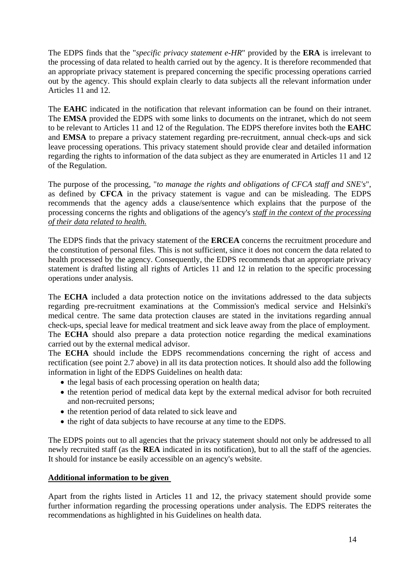The EDPS finds that the "*specific privacy statement e-HR*" provided by the **ERA** is irrelevant to the processing of data related to health carried out by the agency. It is therefore recommended that an appropriate privacy statement is prepared concerning the specific processing operations carried out by the agency. This should explain clearly to data subjects all the relevant information under Articles 11 and 12.

The **EAHC** indicated in the notification that relevant information can be found on their intranet. The **EMSA** provided the EDPS with some links to documents on the intranet, which do not seem to be relevant to Articles 11 and 12 of the Regulation. The EDPS therefore invites both the **EAHC** and **EMSA** to prepare a privacy statement regarding pre-recruitment, annual check-ups and sick leave processing operations. This privacy statement should provide clear and detailed information regarding the rights to information of the data subject as they are enumerated in Articles 11 and 12 of the Regulation.

The purpose of the processing, "*to manage the rights and obligations of CFCA staff and SNE's*", as defined by **CFCA** in the privacy statement is vague and can be misleading. The EDPS recommends that the agency adds a clause/sentence which explains that the purpose of the processing concerns the rights and obligations of the agency's *staff in the context of the processing of their data related to health.*

The EDPS finds that the privacy statement of the **ERCEA** concerns the recruitment procedure and the constitution of personal files. This is not sufficient, since it does not concern the data related to health processed by the agency. Consequently, the EDPS recommends that an appropriate privacy statement is drafted listing all rights of Articles 11 and 12 in relation to the specific processing operations under analysis.

The **ECHA** included a data protection notice on the invitations addressed to the data subjects regarding pre-recruitment examinations at the Commission's medical service and Helsinki's medical centre. The same data protection clauses are stated in the invitations regarding annual check-ups, special leave for medical treatment and sick leave away from the place of employment. The **ECHA** should also prepare a data protection notice regarding the medical examinations carried out by the external medical advisor.

The **ECHA** should include the EDPS recommendations concerning the right of access and rectification (see point 2.7 above) in all its data protection notices. It should also add the following information in light of the EDPS Guidelines on health data:

- the legal basis of each processing operation on health data;
- the retention period of medical data kept by the external medical advisor for both recruited and non-recruited persons;
- the retention period of data related to sick leave and
- the right of data subjects to have recourse at any time to the EDPS.

The EDPS points out to all agencies that the privacy statement should not only be addressed to all newly recruited staff (as the **REA** indicated in its notification), but to all the staff of the agencies. It should for instance be easily accessible on an agency's website.

### **Additional information to be given**

Apart from the rights listed in Articles 11 and 12, the privacy statement should provide some further information regarding the processing operations under analysis. The EDPS reiterates the recommendations as highlighted in his Guidelines on health data.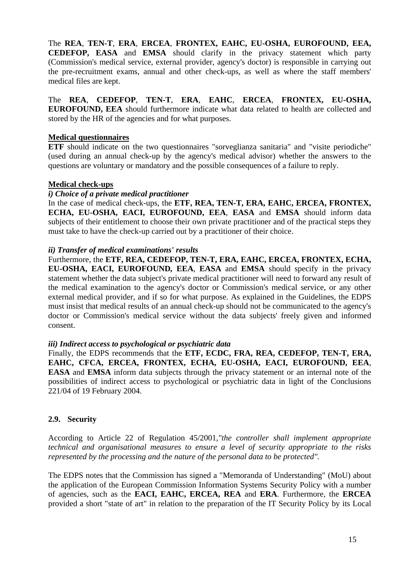The **REA**, **TEN-T**, **ERA**, **ERCEA**, **FRONTEX, EAHC, EU-OSHA, EUROFOUND, EEA, CEDEFOP, EASA** and **EMSA** should clarify in the privacy statement which party (Commission's medical service, external provider, agency's doctor) is responsible in carrying out the pre-recruitment exams, annual and other check-ups, as well as where the staff members' medical files are kept.

The **REA**, **CEDEFOP**, **TEN-T**, **ERA**, **EAHC**, **ERCEA**, **FRONTEX, EU-OSHA, EUROFOUND, EEA** should furthermore indicate what data related to health are collected and stored by the HR of the agencies and for what purposes.

### **Medical questionnaires**

**ETF** should indicate on the two questionnaires "sorveglianza sanitaria" and "visite periodiche" (used during an annual check-up by the agency's medical advisor) whether the answers to the questions are voluntary or mandatory and the possible consequences of a failure to reply.

## **Medical check-ups**

### *i) Choice of a private medical practitioner*

In the case of medical check-ups, the **ETF, REA, TEN-T, ERA, EAHC, ERCEA, FRONTEX, ECHA, EU-OSHA, EACI, EUROFOUND, EEA**, **EASA** and **EMSA** should inform data subjects of their entitlement to choose their own private practitioner and of the practical steps they must take to have the check-up carried out by a practitioner of their choice.

### *ii) Transfer of medical examinations' results*

Furthermore, the **ETF, REA, CEDEFOP, TEN-T, ERA, EAHC, ERCEA, FRONTEX, ECHA, EU-OSHA, EACI, EUROFOUND***,* **EEA**, **EASA** and **EMSA** should specify in the privacy statement whether the data subject's private medical practitioner will need to forward any result of the medical examination to the agency's doctor or Commission's medical service, or any other external medical provider, and if so for what purpose. As explained in the Guidelines, the EDPS must insist that medical results of an annual check-up should not be communicated to the agency's doctor or Commission's medical service without the data subjects' freely given and informed consent.

### *iii) Indirect access to psychological or psychiatric data*

Finally, the EDPS recommends that the **ETF, ECDC, FRA, REA, CEDEFOP, TEN-T, ERA, EAHC, CFCA, ERCEA, FRONTEX, ECHA, EU-OSHA, EACI, EUROFOUND, EEA**, **EASA** and **EMSA** inform data subjects through the privacy statement or an internal note of the possibilities of indirect access to psychological or psychiatric data in light of the Conclusions 221/04 of 19 February 2004.

# **2.9. Security**

According to Article 22 of Regulation 45/2001,*"the controller shall implement appropriate technical and organisational measures to ensure a level of security appropriate to the risks represented by the processing and the nature of the personal data to be protected".* 

The EDPS notes that the Commission has signed a "Memoranda of Understanding" (MoU) about the application of the European Commission Information Systems Security Policy with a number of agencies, such as the **EACI, EAHC, ERCEA, REA** and **ERA**. Furthermore, the **ERCEA** provided a short "state of art" in relation to the preparation of the IT Security Policy by its Local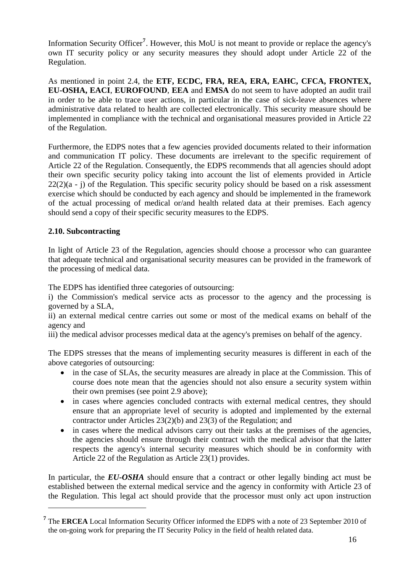Information Security Officer**[7](#page-15-0)** . However, this MoU is not meant to provide or replace the agency's own IT security policy or any security measures they should adopt under Article 22 of the Regulation.

As mentioned in point 2.4, the **ETF, ECDC, FRA, REA, ERA, EAHC, CFCA, FRONTEX, EU-OSHA, EACI**, **EUROFOUND**, **EEA** and **EMSA** do not seem to have adopted an audit trail in order to be able to trace user actions, in particular in the case of sick-leave absences where administrative data related to health are collected electronically. This security measure should be implemented in compliance with the technical and organisational measures provided in Article 22 of the Regulation.

Furthermore, the EDPS notes that a few agencies provided documents related to their information and communication IT policy. These documents are irrelevant to the specific requirement of Article 22 of the Regulation. Consequently, the EDPS recommends that all agencies should adopt their own specific security policy taking into account the list of elements provided in Article  $22(2)(a - i)$  of the Regulation. This specific security policy should be based on a risk assessment exercise which should be conducted by each agency and should be implemented in the framework of the actual processing of medical or/and health related data at their premises. Each agency should send a copy of their specific security measures to the EDPS.

# **2.10. Subcontracting**

1

In light of Article 23 of the Regulation, agencies should choose a processor who can guarantee that adequate technical and organisational security measures can be provided in the framework of the processing of medical data.

The EDPS has identified three categories of outsourcing:

i) the Commission's medical service acts as processor to the agency and the processing is governed by a SLA,

ii) an external medical centre carries out some or most of the medical exams on behalf of the agency and

iii) the medical advisor processes medical data at the agency's premises on behalf of the agency.

The EDPS stresses that the means of implementing security measures is different in each of the above categories of outsourcing:

- in the case of SLAs, the security measures are already in place at the Commission. This of course does note mean that the agencies should not also ensure a security system within their own premises (see point 2.9 above);
- in cases where agencies concluded contracts with external medical centres, they should ensure that an appropriate level of security is adopted and implemented by the external contractor under Articles 23(2)(b) and 23(3) of the Regulation; and
- in cases where the medical advisors carry out their tasks at the premises of the agencies, the agencies should ensure through their contract with the medical advisor that the latter respects the agency's internal security measures which should be in conformity with Article 22 of the Regulation as Article 23(1) provides.

In particular, the *EU-OSHA* should ensure that a contract or other legally binding act must be established between the external medical service and the agency in conformity with Article 23 of the Regulation. This legal act should provide that the processor must only act upon instruction

<span id="page-15-0"></span>**<sup>7</sup>** The **ERCEA** Local Information Security Officer informed the EDPS with a note of 23 September 2010 of the on-going work for preparing the IT Security Policy in the field of health related data.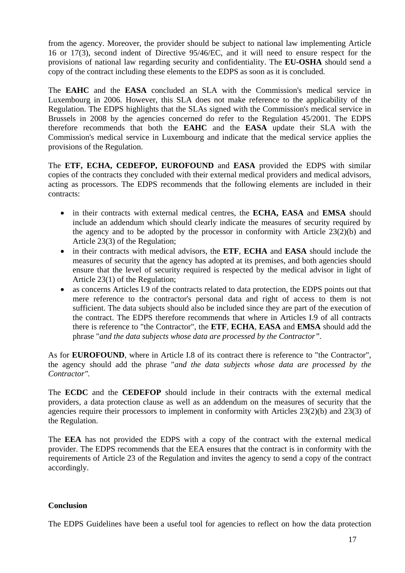from the agency. Moreover, the provider should be subject to national law implementing Article 16 or 17(3), second indent of Directive 95/46/EC, and it will need to ensure respect for the provisions of national law regarding security and confidentiality. The **EU-OSHA** should send a copy of the contract including these elements to the EDPS as soon as it is concluded.

The **EAHC** and the **EASA** concluded an SLA with the Commission's medical service in Luxembourg in 2006. However, this SLA does not make reference to the applicability of the Regulation. The EDPS highlights that the SLAs signed with the Commission's medical service in Brussels in 2008 by the agencies concerned do refer to the Regulation 45/2001. The EDPS therefore recommends that both the **EAHC** and the **EASA** update their SLA with the Commission's medical service in Luxembourg and indicate that the medical service applies the provisions of the Regulation.

The **ETF, ECHA, CEDEFOP, EUROFOUND** and **EASA** provided the EDPS with similar copies of the contracts they concluded with their external medical providers and medical advisors, acting as processors. The EDPS recommends that the following elements are included in their contracts:

- in their contracts with external medical centres, the **ECHA, EASA** and **EMSA** should include an addendum which should clearly indicate the measures of security required by the agency and to be adopted by the processor in conformity with Article 23(2)(b) and Article 23(3) of the Regulation;
- in their contracts with medical advisors, the **ETF**, **ECHA** and **EASA** should include the measures of security that the agency has adopted at its premises, and both agencies should ensure that the level of security required is respected by the medical advisor in light of Article 23(1) of the Regulation;
- as concerns Articles I.9 of the contracts related to data protection, the EDPS points out that mere reference to the contractor's personal data and right of access to them is not sufficient. The data subjects should also be included since they are part of the execution of the contract. The EDPS therefore recommends that where in Articles I.9 of all contracts there is reference to "the Contractor", the **ETF**, **ECHA**, **EASA** and **EMSA** should add the phrase "*and the data subjects whose data are processed by the Contractor".*

As for **EUROFOUND**, where in Article I.8 of its contract there is reference to "the Contractor", the agency should add the phrase "*and the data subjects whose data are processed by the Contractor".* 

The **ECDC** and the **CEDEFOP** should include in their contracts with the external medical providers, a data protection clause as well as an addendum on the measures of security that the agencies require their processors to implement in conformity with Articles 23(2)(b) and 23(3) of the Regulation.

The **EEA** has not provided the EDPS with a copy of the contract with the external medical provider. The EDPS recommends that the EEA ensures that the contract is in conformity with the requirements of Article 23 of the Regulation and invites the agency to send a copy of the contract accordingly.

# **Conclusion**

The EDPS Guidelines have been a useful tool for agencies to reflect on how the data protection